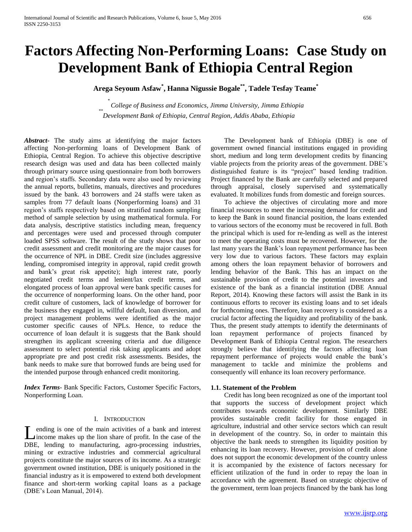# **Factors Affecting Non-Performing Loans: Case Study on Development Bank of Ethiopia Central Region**

**Arega Seyoum Asfaw\* , Hanna Nigussie Bogale\*\*, Tadele Tesfay Teame\***

*\* College of Business and Economics, Jimma University, Jimma Ethiopia \*\* Development Bank of Ethiopia, Central Region, Addis Ababa, Ethiopia*

*Abstract***-** The study aims at identifying the major factors affecting Non-performing loans of Development Bank of Ethiopia, Central Region. To achieve this objective descriptive research design was used and data has been collected mainly through primary source using questionnaire from both borrowers and region's staffs. Secondary data were also used by reviewing the annual reports, bulletins, manuals, directives and procedures issued by the bank. 43 borrowers and 24 staffs were taken as samples from 77 default loans (Nonperforming loans) and 31 region's staffs respectively based on stratified random sampling method of sample selection by using mathematical formula. For data analysis, descriptive statistics including mean, frequency and percentages were used and processed through computer loaded SPSS software. The result of the study shows that poor credit assessment and credit monitoring are the major causes for the occurrence of NPL in DBE. Credit size (includes aggressive lending, compromised integrity in approval, rapid credit growth and bank's great risk appetite); high interest rate, poorly negotiated credit terms and lenient/lax credit terms, and elongated process of loan approval were bank specific causes for the occurrence of nonperforming loans. On the other hand, poor credit culture of customers, lack of knowledge of borrower for the business they engaged in, willful default, loan diversion, and project management problems were identified as the major customer specific causes of NPLs. Hence, to reduce the occurrence of loan default it is suggests that the Bank should strengthen its applicant screening criteria and due diligence assessment to select potential risk taking applicants and adopt appropriate pre and post credit risk assessments. Besides, the bank needs to make sure that borrowed funds are being used for the intended purpose through enhanced credit monitoring.

*Index Terms*- Bank Specific Factors, Customer Specific Factors, Nonperforming Loan.

## I. INTRODUCTION

ending is one of the main activities of a bank and interest income makes up the lion share of profit. In the case of the I ending is one of the main activities of a bank and interest<br>income makes up the lion share of profit. In the case of the<br>DBE, lending to manufacturing, agro-processing industries, mining or extractive industries and commercial agricultural projects constitute the major sources of its income. As a strategic government owned institution, DBE is uniquely positioned in the financial industry as it is empowered to extend both development finance and short-term working capital loans as a package (DBE's Loan Manual, 2014).

 The Development bank of Ethiopia (DBE) is one of government owned financial institutions engaged in providing short, medium and long term development credits by financing viable projects from the priority areas of the government. DBE's distinguished feature is its "project" based lending tradition. Project financed by the Bank are carefully selected and prepared through appraisal, closely supervised and systematically evaluated. It mobilizes funds from domestic and foreign sources.

 To achieve the objectives of circulating more and more financial resources to meet the increasing demand for credit and to keep the Bank in sound financial position, the loans extended to various sectors of the economy must be recovered in full. Both the principal which is used for re-lending as well as the interest to meet the operating costs must be recovered. However, for the last many years the Bank's loan repayment performance has been very low due to various factors. These factors may explain among others the loan repayment behavior of borrowers and lending behavior of the Bank. This has an impact on the sustainable provision of credit to the potential investors and existence of the bank as a financial institution (DBE Annual Report, 2014). Knowing these factors will assist the Bank in its continuous efforts to recover its existing loans and to set ideals for forthcoming ones. Therefore, loan recovery is considered as a crucial factor affecting the liquidity and profitability of the bank. Thus, the present study attempts to identify the determinants of loan repayment performance of projects financed by Development Bank of Ethiopia Central region. The researchers strongly believe that identifying the factors affecting loan repayment performance of projects would enable the bank's management to tackle and minimize the problems and consequently will enhance its loan recovery performance.

#### **1.1. Statement of the Problem**

 Credit has long been recognized as one of the important tool that supports the success of development project which contributes towards economic development. Similarly DBE provides sustainable credit facility for those engaged in agriculture, industrial and other service sectors which can result in development of the country. So, in order to maintain this objective the bank needs to strengthen its liquidity position by enhancing its loan recovery. However, provision of credit alone does not support the economic development of the country unless it is accompanied by the existence of factors necessary for efficient utilization of the fund in order to repay the loan in accordance with the agreement. Based on strategic objective of the government, term loan projects financed by the bank has long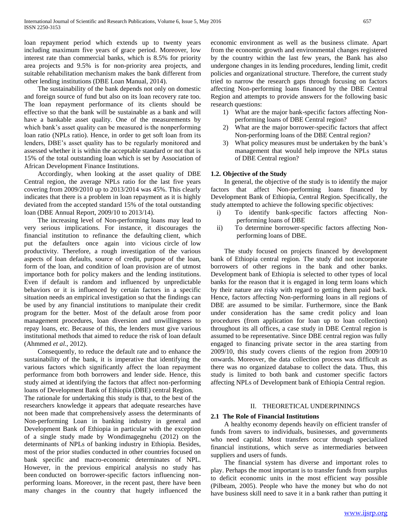loan repayment period which extends up to twenty years including maximum five years of grace period. Moreover, low interest rate than commercial banks, which is 8.5% for priority area projects and 9.5% is for non-priority area projects, and suitable rehabilitation mechanism makes the bank different from other lending institutions (DBE Loan Manual, 2014).

 The sustainability of the bank depends not only on domestic and foreign source of fund but also on its loan recovery rate too. The loan repayment performance of its clients should be effective so that the bank will be sustainable as a bank and will have a bankable asset quality. One of the measurements by which bank's asset quality can be measured is the nonperforming loan ratio (NPLs ratio). Hence, in order to get soft loan from its lenders, DBE's asset quality has to be regularly monitored and assessed whether it is within the acceptable standard or not that is 15% of the total outstanding loan which is set by Association of African Development Finance Institutions.

 Accordingly, when looking at the asset quality of DBE Central region, the average NPLs ratio for the last five years covering from 2009/2010 up to 2013/2014 was 45%. This clearly indicates that there is a problem in loan repayment as it is highly deviated from the accepted standard 15% of the total outstanding loan (DBE Annual Report, 2009/10 to 2013/14).

 The increasing level of Non-performing loans may lead to very serious implications. For instance, it discourages the financial institution to refinance the defaulting client, which put the defaulters once again into vicious circle of low productivity. Therefore, a rough investigation of the various aspects of loan defaults, source of credit, purpose of the loan, form of the loan, and condition of loan provision are of utmost importance both for policy makers and the lending institutions. Even if default is random and influenced by unpredictable behaviors or it is influenced by certain factors in a specific situation needs an empirical investigation so that the findings can be used by any financial institutions to manipulate their credit program for the better. Most of the default arose from poor management procedures, loan diversion and unwillingness to repay loans, etc. Because of this, the lenders must give various institutional methods that aimed to reduce the risk of loan default (Ahmmed *et al.,* 2012).

 Consequently, to reduce the default rate and to enhance the sustainability of the bank, it is imperative that identifying the various factors which significantly affect the loan repayment performance from both borrowers and lender side. Hence, this study aimed at identifying the factors that affect non-performing loans of Development Bank of Ethiopia (DBE) central Region.

The rationale for undertaking this study is that, to the best of the researchers knowledge it appears that adequate researches have not been made that comprehensively assess the determinants of Non-performing Loan in banking industry in general and Development Bank of Ethiopia in particular with the exception of a single study made by Wondimagegnehu (2012) on the determinants of NPLs of banking industry in Ethiopia. Besides, most of the prior studies conducted in other countries focused on bank specific and macro-economic determinates of NPL. However, in the previous empirical analysis no study has been conducted on borrower-specific factors influencing nonperforming loans. Moreover, in the recent past, there have been many changes in the country that hugely influenced the economic environment as well as the business climate. Apart from the economic growth and environmental changes registered by the country within the last few years, the Bank has also undergone changes in its lending procedures, lending limit, credit policies and organizational structure. Therefore, the current study tried to narrow the research gaps through focusing on factors affecting Non-performing loans financed by the DBE Central Region and attempts to provide answers for the following basic research questions:

- 1) What are the major bank-specific factors affecting Nonperforming loans of DBE Central region?
- 2) What are the major borrower-specific factors that affect Non-performing loans of the DBE Central region?
- 3) What policy measures must be undertaken by the bank's management that would help improve the NPLs status of DBE Central region?

## **1.2. Objective of the Study**

 In general, the objective of the study is to identify the major factors that affect Non-performing loans financed by Development Bank of Ethiopia, Central Region. Specifically, the study attempted to achieve the following specific objectives:

- i) To identify bank-specific factors affecting Nonperforming loans of DBE
- ii) To determine borrower-specific factors affecting Nonperforming loans of DBE.

 The study focused on projects financed by development bank of Ethiopia central region. The study did not incorporate borrowers of other regions in the bank and other banks. Development bank of Ethiopia is selected to other types of local banks for the reason that it is engaged in long term loans which by their nature are risky with regard to getting them paid back. Hence, factors affecting Non-performing loans in all regions of DBE are assumed to be similar. Furthermore, since the Bank under consideration has the same credit policy and loan procedures (from application for loan up to loan collection) throughout its all offices, a case study in DBE Central region is assumed to be representative. Since DBE central region was fully engaged to financing private sector in the area starting from 2009/10, this study covers clients of the region from 2009/10 onwards. Moreover, the data collection process was difficult as there was no organized database to collect the data. Thus, this study is limited to both bank and customer specific factors affecting NPLs of Development bank of Ethiopia Central region.

## II. THEORETICAL UNDERPININGS

## **2.1 The Role of Financial Institutions**

 A healthy economy depends heavily on efficient transfer of funds from savers to individuals, businesses, and governments who need capital. Most transfers occur through specialized financial institutions, which serve as intermediaries between suppliers and users of funds.

 The financial system has diverse and important roles to play. Perhaps the most important is to transfer funds from surplus to deficit economic units in the most efficient way possible (Pilbeam, 2005). People who have the money but who do not have business skill need to save it in a bank rather than putting it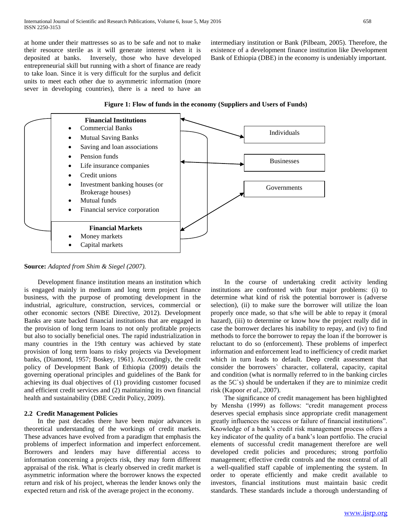at home under their mattresses so as to be safe and not to make their resource sterile as it will generate interest when it is deposited at banks. Inversely, those who have developed entrepreneurial skill but running with a short of finance are ready to take loan. Since it is very difficult for the surplus and deficit units to meet each other due to asymmetric information (more sever in developing countries), there is a need to have an intermediary institution or Bank (Pilbeam, 2005). Therefore, the existence of a development finance institution like Development Bank of Ethiopia (DBE) in the economy is undeniably important.



**Figure 1: Flow of funds in the economy (Suppliers and Users of Funds)**

## **Source:** *Adapted from Shim & Siegel (2007).*

 Development finance institution means an institution which is engaged mainly in medium and long term project finance business, with the purpose of promoting development in the industrial, agriculture, construction, services, commercial or other economic sectors (NBE Directive, 2012). Development Banks are state backed financial institutions that are engaged in the provision of long term loans to not only profitable projects but also to socially beneficial ones. The rapid industrialization in many countries in the 19th century was achieved by state provision of long term loans to risky projects via Development banks, (Diamond, 1957; Boskey, 1961). Accordingly, the credit policy of Development Bank of Ethiopia (2009) details the governing operational principles and guidelines of the Bank for achieving its dual objectives of (1) providing customer focused and efficient credit services and (2) maintaining its own financial health and sustainability (DBE Credit Policy, 2009).

## **2.2 Credit Management Policies**

 In the past decades there have been major advances in theoretical understanding of the workings of credit markets. These advances have evolved from a paradigm that emphasis the problems of imperfect information and imperfect enforcement. Borrowers and lenders may have differential access to information concerning a projects risk, they may form different appraisal of the risk. What is clearly observed in credit market is asymmetric information where the borrower knows the expected return and risk of his project, whereas the lender knows only the expected return and risk of the average project in the economy.

 In the course of undertaking credit activity lending institutions are confronted with four major problems: (i) to determine what kind of risk the potential borrower is (adverse selection), (ii) to make sure the borrower will utilize the loan properly once made, so that s/he will be able to repay it (moral hazard), (iii) to determine or know how the project really did in case the borrower declares his inability to repay, and (iv) to find methods to force the borrower to repay the loan if the borrower is reluctant to do so (enforcement). These problems of imperfect information and enforcement lead to inefficiency of credit market which in turn leads to default. Deep credit assessment that consider the borrowers` character, collateral, capacity, capital and condition (what is normally referred to in the banking circles as the 5C`s) should be undertaken if they are to minimize credit risk (Kapoor *et al*., 2007).

 The significance of credit management has been highlighted by Mensha (1999) as follows: "credit management process deserves special emphasis since appropriate credit management greatly influences the success or failure of financial institutions". Knowledge of a bank's credit risk management process offers a key indicator of the quality of a bank's loan portfolio. The crucial elements of successful credit management therefore are well developed credit policies and procedures; strong portfolio management; effective credit controls and the most central of all a well-qualified staff capable of implementing the system. In order to operate efficiently and make credit available to investors, financial institutions must maintain basic credit standards. These standards include a thorough understanding of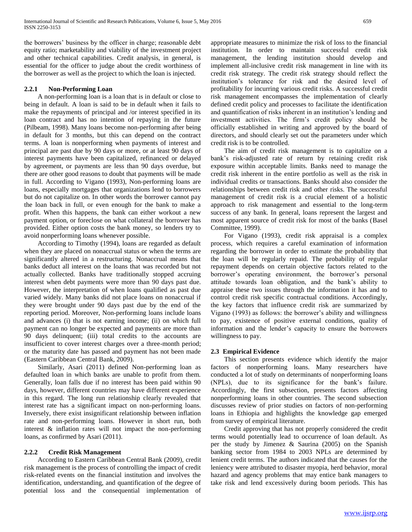the borrowers' business by the officer in charge; reasonable debt equity ratio; marketability and viability of the investment project and other technical capabilities. Credit analysis, in general, is essential for the officer to judge about the credit worthiness of the borrower as well as the project to which the loan is injected.

## **2.2.1 Non-Performing Loan**

 A non-performing loan is a loan that is in default or close to being in default. A loan is said to be in default when it fails to make the repayments of principal and /or interest specified in its loan contract and has no intention of repaying in the future (Pilbeam, 1998). Many loans become non-performing after being in default for 3 months, but this can depend on the contract terms. A loan is nonperforming when payments of interest and principal are past due by 90 days or more, or at least 90 days of interest payments have been capitalized, refinanced or delayed by agreement, or payments are less than 90 days overdue, but there are other good reasons to doubt that payments will be made in full. According to Vigano (1993), Non-performing loans are loans, especially mortgages that organizations lend to borrowers but do not capitalize on. In other words the borrower cannot pay the loan back in full, or even enough for the bank to make a profit. When this happens, the bank can either workout a new payment option, or foreclose on what collateral the borrower has provided. Either option costs the bank money, so lenders try to avoid nonperforming loans whenever possible.

 According to Timothy (1994), loans are regarded as default when they are placed on nonaccrual status or when the terms are significantly altered in a restructuring. Nonaccrual means that banks deduct all interest on the loans that was recorded but not actually collected. Banks have traditionally stopped accruing interest when debt payments were more than 90 days past due. However, the interpretation of when loans qualified as past due varied widely. Many banks did not place loans on nonaccrual if they were brought under 90 days past due by the end of the reporting period. Moreover, Non-performing loans include loans and advances (i) that is not earning income; (ii) on which full payment can no longer be expected and payments are more than 90 days delinquent; (iii) total credits to the accounts are insufficient to cover interest charges over a three-month period; or the maturity date has passed and payment has not been made (Eastern Caribbean Central Bank, 2009).

 Similarly, Asari (2011) defined Non-performing loan as defaulted loan in which banks are unable to profit from them. Generally, loan falls due if no interest has been paid within 90 days, however, different countries may have different experience in this regard. The long run relationship clearly revealed that interest rate has a significant impact on non-performing loans. Inversely, there exist insignificant relationship between inflation rate and non-performing loans. However in short run, both interest & inflation rates will not impact the non-performing loans, as confirmed by Asari (2011).

## **2.2.2 Credit Risk Management**

 According to Eastern Caribbean Central Bank (2009), credit risk management is the process of controlling the impact of credit risk-related events on the financial institution and involves the identification, understanding, and quantification of the degree of potential loss and the consequential implementation of appropriate measures to minimize the risk of loss to the financial institution. In order to maintain successful credit risk management, the lending institution should develop and implement all-inclusive credit risk management in line with its credit risk strategy. The credit risk strategy should reflect the institution's tolerance for risk and the desired level of profitability for incurring various credit risks. A successful credit risk management encompasses the implementation of clearly defined credit policy and processes to facilitate the identification and quantification of risks inherent in an institution's lending and investment activities. The firm's credit policy should be officially established in writing and approved by the board of directors, and should clearly set out the parameters under which credit risk is to be controlled.

 The aim of credit risk management is to capitalize on a bank's risk-adjusted rate of return by retaining credit risk exposure within acceptable limits. Banks need to manage the credit risk inherent in the entire portfolio as well as the risk in individual credits or transactions. Banks should also consider the relationships between credit risk and other risks. The successful management of credit risk is a crucial element of a holistic approach to risk management and essential to the long-term success of any bank. In general, loans represent the largest and most apparent source of credit risk for most of the banks (Basel Committee, 1999).

 For Vigano (1993), credit risk appraisal is a complex process, which requires a careful examination of information regarding the borrower in order to estimate the probability that the loan will be regularly repaid. The probability of regular repayment depends on certain objective factors related to the borrower's operating environment, the borrower's personal attitude towards loan obligation, and the bank's ability to appraise these two issues through the information it has and to control credit risk specific contractual conditions. Accordingly, the key factors that influence credit risk are summarized by Vigano (1993) as follows: the borrower's ability and willingness to pay, existence of positive external conditions, quality of information and the lender's capacity to ensure the borrowers willingness to pay.

## **2.3 Empirical Evidence**

 This section presents evidence which identify the major factors of nonperforming loans. Many researchers have conducted a lot of study on determinants of nonperforming loans (NPLs), due to its significance for the bank's failure. Accordingly, the first subsection, presents factors affecting nonperforming loans in other countries. The second subsection discusses review of prior studies on factors of non-performing loans in Ethiopia and highlights the knowledge gap emerged from survey of empirical literature.

 Credit approving that has not properly considered the credit terms would potentially lead to occurrence of loan default. As per the study by Jimenez & Saurina (2005) on the Spanish banking sector from 1984 to 2003 NPLs are determined by lenient credit terms. The authors indicated that the causes for the leniency were attributed to disaster myopia, herd behavior, moral hazard and agency problems that may entice bank managers to take risk and lend excessively during boom periods. This has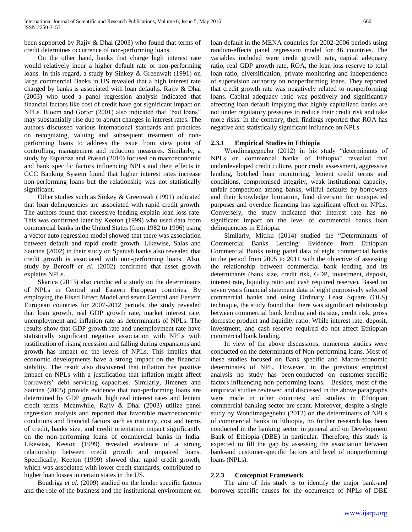been supported by Rajiv & Dhal (2003) who found that terms of credit determines occurrence of non-performing loans.

 On the other hand, banks that charge high interest rate would relatively incur a higher default rate or non-performing loans. In this regard, a study by Sinkey & Greenwalt (1991) on large commercial Banks in US revealed that a high interest rate charged by banks is associated with loan defaults. Rajiv & Dhal (2003) who used a panel regression analysis indicated that financial factors like cost of credit have got significant impact on NPLs. Bloem and Gorter (2001) also indicated that "bad loans" may substantially rise due to abrupt changes in interest rates. The authors discussed various international standards and practices on recognizing, valuing and subsequent treatment of nonperforming loans to address the issue from view point of controlling, management and reduction measures. Similarly, a study by Espinoza and Prasad (2010) focused on macroeconomic and bank specific factors influencing NPLs and their effects in GCC Banking System found that higher interest rates increase non-performing loans but the relationship was not statistically significant.

 Other studies such as Sinkey & Greenwalt (1991) indicated that loan delinquencies are associated with rapid credit growth. The authors found that excessive lending explain loan loss rate. This was confirmed later by Keeton (1999) who used data from commercial banks in the United States (from 1982 to 1996) using a vector auto regression model showed that there was association between default and rapid credit growth. Likewise, Salas and Saurina (2002) in their study on Spanish banks also revealed that credit growth is associated with non-performing loans. Also, study by Bercoff *et al*. (2002) confirmed that asset growth explains NPLs.

 Skarica (2013) also conducted a study on the determinants of NPLs in Central and Eastern European countries. By employing the Fixed Effect Model and seven Central and Eastern European countries for 2007-2012 periods, the study revealed that loan growth, real GDP growth rate, market interest rate, unemployment and inflation rate as determinants of NPLs. The results show that GDP growth rate and unemployment rate have statistically significant negative association with NPLs with justification of rising recession and falling during expansions and growth has impact on the levels of NPLs. This implies that economic developments have a strong impact on the financial stability. The result also discovered that inflation has positive impact on NPLs with a justification that inflation might affect borrowers' debt servicing capacities. Similarly, Jimenez and Saurina (2005) provide evidence that non-performing loans are determined by GDP growth, high real interest rates and lenient credit terms. Meanwhile, Rajiv & Dhal (2003) utilize panel regression analysis and reported that favorable macroeconomic conditions and financial factors such as maturity, cost and terms of credit, banks size, and credit orientation impact significantly on the non-performing loans of commercial banks in India. Likewise, Keeton (1999) revealed evidence of a strong relationship between credit growth and impaired loans. Specifically, Keeton (1999) showed that rapid credit growth, which was associated with lower credit standards, contributed to higher loan losses in certain states in the US.

 Boudriga *et al.* (2009) studied on the lender specific factors and the role of the business and the institutional environment on

loan default in the MENA countries for 2002-2006 periods using random-effects panel regression model for 46 countries. The variables included were credit growth rate, capital adequacy ratio, real GDP growth rate, ROA, the loan loss reserve to total loan ratio, diversification, private monitoring and independence of supervision authority on nonperforming loans. They reported that credit growth rate was negatively related to nonperforming loans. Capital adequacy ratio was positively and significantly affecting loan default implying that highly capitalized banks are not under regulatory pressures to reduce their credit risk and take more risks. In the contrary, their findings reported that ROA has negative and statistically significant influence on NPLs.

## **2.3.1 Empirical Studies in Ethiopia**

 Wondimagegnehu (2012) in his study "determinants of NPLs on commercial banks of Ethiopia" revealed that underdeveloped credit culture, poor credit assessment, aggressive lending, botched loan monitoring, lenient credit terms and conditions, compromised integrity, weak institutional capacity, unfair competition among banks, willful defaults by borrowers and their knowledge limitation, fund diversion for unexpected purposes and overdue financing has significant effect on NPLs. Conversely, the study indicated that interest rate has no significant impact on the level of commercial banks loan delinquencies in Ethiopia.

 Similarly, Mitiku (2014) studied the "Determinants of Commercial Banks Lending: Evidence from Ethiopian Commercial Banks using panel data of eight commercial banks in the period from 2005 to 2011 with the objective of assessing the relationship between commercial bank lending and its determinants (bank size, credit risk, GDP, investment, deposit, interest rate, liquidity ratio and cash required reserve). Based on seven years financial statement data of eight purposively selected commercial banks and using Ordinary Least Square (OLS) technique, the study found that there was significant relationship between commercial bank lending and its size, credit risk, gross domestic product and liquidity ratio. While interest rate, deposit, investment, and cash reserve required do not affect Ethiopian commercial bank lending.

 In view of the above discussions, numerous studies were conducted on the determinants of Non-performing loans. Most of these studies focused on Bank specific and Macro-economic determinates of NPL. However, in the previous empirical analysis no study has been conducted on customer-specific factors influencing non-performing loans. Besides, most of the empirical studies reviewed and discussed in the above paragraphs were made in other countries; and studies in Ethiopian commercial banking sector are scant. Moreover, despite a single study by Wondimagegnehu (2012) on the determinants of NPLs of commercial banks in Ethiopia, no further research has been conducted in the banking sector in general and on Development Bank of Ethiopia (DBE) in particular. Therefore, this study is expected to fill the gap by assessing the association between bank-and customer-specific factors and level of nonperforming loans (NPLs).

## **2.2.3 Conceptual Framework**

 The aim of this study is to identify the major bank-and borrower-specific causes for the occurrence of NPLs of DBE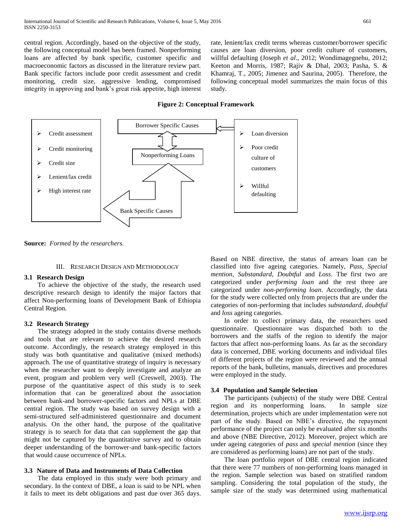central region. Accordingly, based on the objective of the study, the following conceptual model has been framed. Nonperforming loans are affected by bank specific, customer specific and macroeconomic factors as discussed in the literature review part. Bank specific factors include poor credit assessment and credit monitoring, credit size, aggressive lending, compromised integrity in approving and bank's great risk appetite, high interest rate, lenient/lax credit terms whereas customer/borrower specific causes are loan diversion, poor credit culture of customers, willful defaulting (Joseph *et al*., 2012; Wondimagegnehu, 2012; Keeton and Morris, 1987; Rajiv & Dhal, 2003; Pasha, S. & Khamraj, T., 2005; Jimenez and Saurina, 2005). Therefore, the following conceptual model summarizes the main focus of this study.

## **Figure 2: Conceptual Framework**



**Source:** *Formed by the researchers.*

### III. RESEARCH DESIGN AND METHODOLOGY

### **3.1 Research Design**

 To achieve the objective of the study, the research used descriptive research design to identify the major factors that affect Non-performing loans of Development Bank of Ethiopia Central Region.

### **3.2 Research Strategy**

 The strategy adopted in the study contains diverse methods and tools that are relevant to achieve the desired research outcome. Accordingly, the research strategy employed in this study was both quantitative and qualitative (mixed methods) approach. The use of quantitative strategy of inquiry is necessary when the researcher want to deeply investigate and analyze an event, program and problem very well (Creswell, 2003). The purpose of the quantitative aspect of this study is to seek information that can be generalized about the association between bank-and borrower-specific factors and NPLs at DBE central region. The study was based on survey design with a semi-structured self-administered questionnaire and document analysis. On the other hand, the purpose of the qualitative strategy is to search for data that can supplement the gap that might not be captured by the quantitative survey and to obtain deeper understanding of the borrower-and bank-specific factors that would cause occurrence of NPLs.

### **3.3 Nature of Data and Instruments of Data Collection**

 The data employed in this study were both primary and secondary. In the context of DBE, a loan is said to be NPL when it fails to meet its debt obligations and past due over 365 days.

Based on NBE directive, the status of arrears loan can be classified into five ageing categories. Namely, *Pass, Special mention, Substandard, Doubtful* and *Loss*. The first two are categorized under *performing loan* and the rest three are categorized under *non-performing loan*. Accordingly, the data for the study were collected only from projects that are under the categories of non-performing that includes *substandard*, *doubtful* and *loss* ageing categories.

 In order to collect primary data, the researchers used questionnaire. Questionnaire was dispatched both to the borrowers and the staffs of the region to identify the major factors that affect non-performing loans. As far as the secondary data is concerned, DBE working documents and individual files of different projects of the region were reviewed and the annual reports of the bank, bulletins, manuals, directives and procedures were employed in the study.

## **3.4 Population and Sample Selection**

 The participants (subjects) of the study were DBE Central region and its nonperforming loans. In sample size determination, projects which are under implementation were not part of the study. Based on NBE's directive, the repayment performance of the project can only be evaluated after six months and above (NBE Directive, 2012). Moreover, project which are under ageing categories of *pass* and *special mention* (since they are considered as performing loans) are not part of the study.

 The loan portfolio report of DBE central region indicated that there were 77 numbers of non-performing loans managed in the region. Sample selection was based on stratified random sampling. Considering the total population of the study, the sample size of the study was determined using mathematical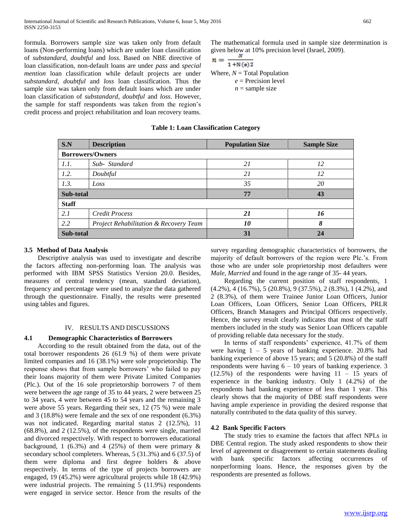formula. Borrowers sample size was taken only from default loans (Non-performing loans) which are under loan classification of *substandard*, *doubtful* and *loss*. Based on NBE directive of loan classification, non-default loans are under *pass* and *special mention* loan classification while default projects are under *substandard, doubtful* and *loss* loan classification. Thus the sample size was taken only from default loans which are under loan classification of *substandard*, *doubtful* and *loss*. However, the sample for staff respondents was taken from the region's credit process and project rehabilitation and loan recovery teams.

The mathematical formula used in sample size determination is given below at 10% precision level (Israel, 2009).

$$
n = \frac{n}{1 + N(e)2}
$$
  
Where,  $N = \text{Total Population}$   
 $e = \text{Precision level}$   
 $n = \text{sample size}$ 

| <b>Table 1: Loan Classification Category</b> |  |
|----------------------------------------------|--|
|                                              |  |

| S.N          | <b>Description</b>                     | <b>Population Size</b> | <b>Sample Size</b> |
|--------------|----------------------------------------|------------------------|--------------------|
|              | <b>Borrowers/Owners</b>                |                        |                    |
| 1.1.         | Sub-Standard                           | 21                     | 12                 |
| 1.2.         | Doubtful                               | 21                     | 12                 |
| 1.3.         | Loss                                   | 35                     | 20                 |
| Sub-total    |                                        | 77                     | 43                 |
| <b>Staff</b> |                                        |                        |                    |
| 2.1          | <b>Credit Process</b>                  | 21                     | 16                 |
| 2.2          | Project Rehabilitation & Recovery Team | 10                     | 8                  |
| Sub-total    |                                        | 31                     | 24                 |

## **3.5 Method of Data Analysis**

 Descriptive analysis was used to investigate and describe the factors affecting non-performing loan. The analysis was performed with IBM SPSS Statistics Version 20.0. Besides, measures of central tendency (mean, standard deviation), frequency and percentage were used to analyze the data gathered through the questionnaire. Finally, the results were presented using tables and figures.

### IV. RESULTS AND DISCUSSIONS

## **4.1 Demographic Characteristics of Borrowers**

 According to the result obtained from the data, out of the total borrower respondents 26 (61.9 %) of them were private limited companies and 16 (38.1%) were sole proprietorship. The response shows that from sample borrowers' who failed to pay their loans majority of them were Private Limited Companies (Plc.). Out of the 16 sole proprietorship borrowers 7 of them were between the age range of 35 to 44 years, 2 were between 25 to 34 years, 4 were between 45 to 54 years and the remaining 3 were above 55 years. Regarding their sex, 12 (75 %) were male and 3 (18.8%) were female and the sex of one respondent (6.3%) was not indicated. Regarding marital status 2 (12.5%), 11 (68.8%), and 2 (12.5%), of the respondents were single, married and divorced respectively. With respect to borrowers educational background, 1 (6.3%) and 4 (25%) of them were primary  $\&$ secondary school completers. Whereas, 5 (31.3%) and 6 (37.5) of them were diploma and first degree holders & above respectively. In terms of the type of projects borrowers are engaged, 19 (45.2%) were agricultural projects while 18 (42.9%) were industrial projects. The remaining 5 (11.9%) respondents were engaged in service sector. Hence from the results of the

survey regarding demographic characteristics of borrowers, the majority of default borrowers of the region were Plc.'s. From those who are under sole proprietorship most defaulters were *Male*, *Married* and found in the age range of 35- 44 years.

 Regarding the current position of staff respondents, 1 (4.2%), 4 (16.7%), 5 (20.8%), 9 (37.5%), 2 (8.3%), 1 (4.2%), and 2 (8.3%), of them were Trainee Junior Loan Officers, Junior Loan Officers, Loan Officers, Senior Loan Officers, PRLR Officers, Branch Managers and Principal Officers respectively. Hence, the survey result clearly indicates that most of the staff members included in the study was Senior Loan Officers capable of providing reliable data necessary for the study.

 In terms of staff respondents' experience, 41.7% of them were having  $1 - 5$  years of banking experience. 20.8% had banking experience of above 15 years; and 5 (20.8%) of the staff respondents were having  $6 - 10$  years of banking experience. 3  $(12.5\%)$  of the respondents were having  $11 - 15$  years of experience in the banking industry. Only 1 (4.2%) of the respondents had banking experience of less than 1 year. This clearly shows that the majority of DBE staff respondents were having ample experience in providing the desired response that naturally contributed to the data quality of this survey.

## **4.2 Bank Specific Factors**

 The study tries to examine the factors that affect NPLs in DBE Central region. The study asked respondents to show their level of agreement or disagreement to certain statements dealing with bank specific factors affecting occurrences of nonperforming loans. Hence, the responses given by the respondents are presented as follows.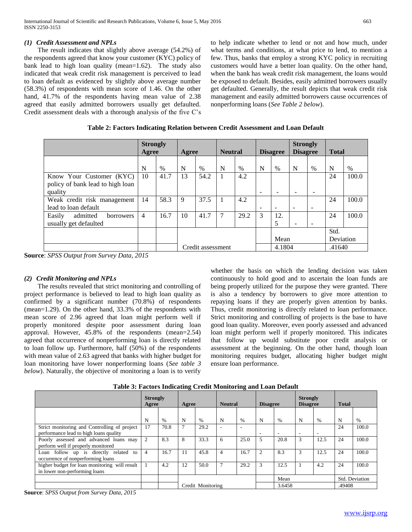## *(1) Credit Assessment and NPLs*

 The result indicates that slightly above average (54.2%) of the respondents agreed that know your customer (KYC) policy of bank lead to high loan quality (mean=1.62). The study also indicated that weak credit risk management is perceived to lead to loan default as evidenced by slightly above average number (58.3%) of respondents with mean score of 1.46. On the other hand, 41.7% of the respondents having mean value of 2.38 agreed that easily admitted borrowers usually get defaulted. Credit assessment deals with a thorough analysis of the five C's to help indicate whether to lend or not and how much, under what terms and conditions, at what price to lend, to mention a few. Thus, banks that employ a strong KYC policy in recruiting customers would have a better loan quality. On the other hand, when the bank has weak credit risk management, the loans would be exposed to default. Besides, easily admitted borrowers usually get defaulted. Generally, the result depicts that weak credit risk management and easily admitted borrowers cause occurrences of nonperforming loans (*See Table 2 below*).

|                                                                         | <b>Strongly</b><br>Agree |      | Agree |                   | <b>Neutral</b> |      | <b>Disagree</b>          |                          | <b>Strongly</b><br><b>Disagree</b> |                   | <b>Total</b> |       |
|-------------------------------------------------------------------------|--------------------------|------|-------|-------------------|----------------|------|--------------------------|--------------------------|------------------------------------|-------------------|--------------|-------|
|                                                                         | N                        | $\%$ | N     | $\%$              | N              | $\%$ | N                        | $\%$                     | N                                  | $\%$              | N            | %     |
| Know Your Customer (KYC)<br>policy of bank lead to high loan<br>quality | 10                       | 41.7 | 13    | 54.2              |                | 4.2  | $\overline{\phantom{a}}$ |                          |                                    |                   | 24           | 100.0 |
| Weak credit risk management<br>lead to loan default                     | 14                       | 58.3 | 9     | 37.5              |                | 4.2  | $\overline{\phantom{a}}$ | $\overline{\phantom{0}}$ | $\overline{\phantom{0}}$           | -                 | 24           | 100.0 |
| Easily<br>admitted<br><b>borrowers</b><br>usually get defaulted         | 4                        | 16.7 | 10    | 41.7              |                | 29.2 | 3                        | 12.<br>5                 | -                                  |                   | 24           | 100.0 |
|                                                                         |                          |      |       |                   |                |      | Mean                     |                          |                                    | Std.<br>Deviation |              |       |
|                                                                         |                          |      |       | Credit assessment |                |      |                          | 4.1804                   |                                    | .41640            |              |       |

**Table 2: Factors Indicating Relation between Credit Assessment and Loan Default**

**Source**: *SPSS Output from Survey Data, 2015*

## *(2) Credit Monitoring and NPLs*

 The results revealed that strict monitoring and controlling of project performance is believed to lead to high loan quality as confirmed by a significant number (70.8%) of respondents (mean=1.29). On the other hand, 33.3% of the respondents with mean score of 2.96 agreed that loan might perform well if properly monitored despite poor assessment during loan approval. However, 45.8% of the respondents (mean=2.54) agreed that occurrence of nonperforming loan is directly related to loan follow up. Furthermore, half (50%) of the respondents with mean value of 2.63 agreed that banks with higher budget for loan monitoring have lower nonperforming loans (*See table 3 below*). Naturally, the objective of monitoring a loan is to verify

whether the basis on which the lending decision was taken continuously to hold good and to ascertain the loan funds are being properly utilized for the purpose they were granted. There is also a tendency by borrowers to give more attention to repaying loans if they are properly given attention by banks. Thus, credit monitoring is directly related to loan performance. Strict monitoring and controlling of projects is the base to have good loan quality. Moreover, even poorly assessed and advanced loan might perform well if properly monitored. This indicates that follow up would substitute poor credit analysis or assessment at the beginning. On the other hand, though loan monitoring requires budget, allocating higher budget might ensure loan performance.

|                                                                                        | <b>Strongly</b><br>Agree |      | Agree          |                   | <b>Neutral</b> |               | <b>Disagree</b> |        | <b>Strongly</b><br><b>Disagree</b> |      | <b>Total</b> |                |
|----------------------------------------------------------------------------------------|--------------------------|------|----------------|-------------------|----------------|---------------|-----------------|--------|------------------------------------|------|--------------|----------------|
|                                                                                        | N                        | $\%$ | N              | $\frac{0}{0}$     | N              | $\frac{0}{0}$ | N               | $\%$   | N                                  | $\%$ | N            | $\%$           |
| Strict monitoring and Controlling of project<br>performance lead to high loans quality | 17                       | 70.8 | $\overline{7}$ | 29.2              |                |               | ۰               | ۰.     | $\overline{\phantom{a}}$           |      | 24           | 100.0          |
| Poorly assessed and advanced loans may<br>perform well if properly monitored           | 2                        | 8.3  | 8              | 33.3              | 6              | 25.0          | 5               | 20.8   | 3                                  | 12.5 | 24           | 100.0          |
| Loan follow up is directly related to<br>occurrence of nonperforming loans             | $\overline{4}$           | 16.7 | -11            | 45.8              | $\overline{4}$ | 16.7          | $\mathfrak{D}$  | 8.3    | 3                                  | 12.5 | 24           | 100.0          |
| higher budget for loan monitoring will result<br>in lower non-performing loans         |                          | 4.2  | 12             | 50.0              | $\mathcal{I}$  | 29.2          | 3               | 12.5   |                                    | 4.2  | 24           | 100.0          |
|                                                                                        |                          |      |                |                   |                |               |                 | Mean   |                                    |      |              | Std. Deviation |
|                                                                                        |                          |      |                | Credit Monitoring |                |               |                 | 3.6458 |                                    |      | .49408       |                |

**Table 3: Factors Indicating Credit Monitoring and Loan Default**

**Source**: *SPSS Output from Survey Data, 2015*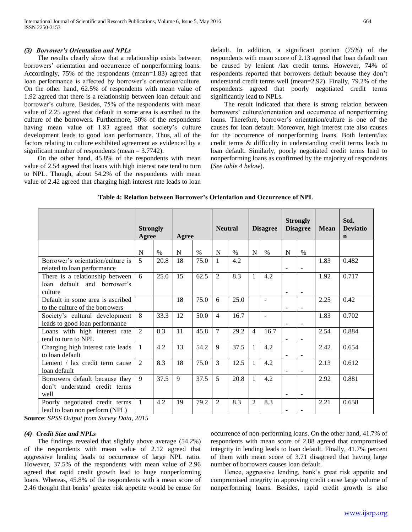#### *(3) Borrower's Orientation and NPLs*

 The results clearly show that a relationship exists between borrowers' orientation and occurrence of nonperforming loans. Accordingly, 75% of the respondents (mean=1.83) agreed that loan performance is affected by borrower's orientation/culture. On the other hand, 62.5% of respondents with mean value of 1.92 agreed that there is a relationship between loan default and borrower's culture. Besides, 75% of the respondents with mean value of 2.25 agreed that default in some area is ascribed to the culture of the borrowers. Furthermore, 50% of the respondents having mean value of 1.83 agreed that society's culture development leads to good loan performance. Thus, all of the factors relating to culture exhibited agreement as evidenced by a significant number of respondents (mean = 3.7742).

 On the other hand, 45.8% of the respondents with mean value of 2.54 agreed that loans with high interest rate tend to turn to NPL. Though, about 54.2% of the respondents with mean value of 2.42 agreed that charging high interest rate leads to loan default. In addition, a significant portion (75%) of the respondents with mean score of 2.13 agreed that loan default can be caused by lenient /lax credit terms. However, 74% of respondents reported that borrowers default because they don't understand credit terms well (mean=2.92). Finally, 79.2% of the respondents agreed that poorly negotiated credit terms significantly lead to NPLs.

 The result indicated that there is strong relation between borrowers' culture/orientation and occurrence of nonperforming loans. Therefore, borrower's orientation/culture is one of the causes for loan default. Moreover, high interest rate also causes for the occurrence of nonperforming loans. Both lenient/lax credit terms & difficulty in understanding credit terms leads to loan default. Similarly, poorly negotiated credit terms lead to nonperforming loans as confirmed by the majority of respondents (*See table 4 below*).

|                                                                           | <b>Strongly</b><br>Agree | Agree |              | <b>Neutral</b> |                | <b>Disagree</b> |                | <b>Strongly</b><br><b>Disagree</b> |                          | <b>Mean</b>              | Std.<br><b>Deviatio</b><br>$\mathbf n$ |       |
|---------------------------------------------------------------------------|--------------------------|-------|--------------|----------------|----------------|-----------------|----------------|------------------------------------|--------------------------|--------------------------|----------------------------------------|-------|
|                                                                           | N                        | $\%$  | N            | $\%$           | N              | $\%$            | N              | $\%$                               | $\mathbf N$              | $\%$                     |                                        |       |
| Borrower's orientation/culture is<br>related to loan performance          | 5                        | 20.8  | 18           | 75.0           | 1              | 4.2             |                |                                    | $\overline{a}$           | $\overline{a}$           | 1.83                                   | 0.482 |
| There is a relationship between<br>loan default and borrower's<br>culture | 6                        | 25.0  | 15           | 62.5           | 2              | 8.3             | 1              | 4.2                                | $\overline{\phantom{a}}$ | $\overline{\phantom{a}}$ | 1.92                                   | 0.717 |
| Default in some area is ascribed<br>to the culture of the borrowers       |                          |       | 18           | 75.0           | 6              | 25.0            |                |                                    |                          |                          | 2.25                                   | 0.42  |
| Society's cultural development<br>leads to good loan performance          | 8                        | 33.3  | 12           | 50.0           | $\overline{4}$ | 16.7            |                |                                    |                          | $\overline{\phantom{a}}$ | 1.83                                   | 0.702 |
| Loans with high interest rate<br>tend to turn to NPL                      | 2                        | 8.3   | 11           | 45.8           | 7              | 29.2            | $\overline{4}$ | 16.7                               | $\blacksquare$           | $\overline{\phantom{a}}$ | 2.54                                   | 0.884 |
| Charging high interest rate leads<br>to loan default                      | $\mathbf{1}$             | 4.2   | 13           | 54.2           | $\mathbf{Q}$   | 37.5            | $\mathbf{1}$   | 4.2                                | $\blacksquare$           | $\blacksquare$           | 2.42                                   | 0.654 |
| Lenient / lax credit term cause<br>loan default                           | $\mathfrak{D}$           | 8.3   | 18           | 75.0           | $\overline{3}$ | 12.5            | 1              | 4.2                                |                          | $\overline{a}$           | 2.13                                   | 0.612 |
| Borrowers default because they<br>don't understand credit terms<br>well   | 9                        | 37.5  | $\mathbf{Q}$ | 37.5           | 5              | 20.8            | $\mathbf{1}$   | 4.2                                | $\overline{\phantom{a}}$ | $\blacksquare$           | 2.92                                   | 0.881 |
| Poorly negotiated credit terms<br>lead to loan non perform (NPL)          | $\mathbf{1}$             | 4.2   | 19           | 79.2           | $\overline{c}$ | 8.3             | $\overline{2}$ | 8.3                                |                          |                          | 2.21                                   | 0.658 |

### **Table 4: Relation between Borrower's Orientation and Occurrence of NPL**

**Source**: *SPSS Output from Survey Data, 2015*

## *(4) Credit Size and NPLs*

 The findings revealed that slightly above average (54.2%) of the respondents with mean value of 2.12 agreed that aggressive lending leads to occurrence of large NPL ratio. However, 37.5% of the respondents with mean value of 2.96 agreed that rapid credit growth lead to huge nonperforming loans. Whereas, 45.8% of the respondents with a mean score of 2.46 thought that banks' greater risk appetite would be cause for

occurrence of non-performing loans. On the other hand, 41.7% of respondents with mean score of 2.88 agreed that compromised integrity in lending leads to loan default. Finally, 41.7% percent of them with mean score of 3.71 disagreed that having large number of borrowers causes loan default.

 Hence, aggressive lending, bank's great risk appetite and compromised integrity in approving credit cause large volume of nonperforming loans. Besides, rapid credit growth is also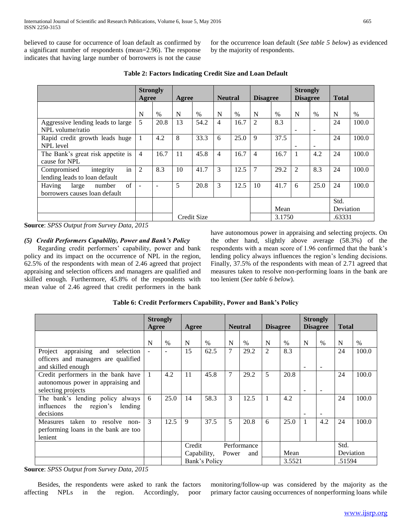believed to cause for occurrence of loan default as confirmed by a significant number of respondents (mean=2.96). The response indicates that having large number of borrowers is not the cause

for the occurrence loan default (*See table 5 below*) as evidenced by the majority of respondents.

|                                                                          | Agree          | <b>Strongly</b><br>Agree |    | <b>Neutral</b><br><b>Disagree</b> |                |      | <b>Strongly</b><br><b>Disagree</b> |        | <b>Total</b>   |                          |                   |       |
|--------------------------------------------------------------------------|----------------|--------------------------|----|-----------------------------------|----------------|------|------------------------------------|--------|----------------|--------------------------|-------------------|-------|
|                                                                          | N              | $\%$                     | N  | %                                 | N              | $\%$ | N                                  | $\%$   | N              | $\%$                     | N                 | $\%$  |
| Aggressive lending leads to large<br>NPL volume/ratio                    | 5              | 20.8                     | 13 | 54.2                              | $\overline{4}$ | 16.7 | 2                                  | 8.3    | ۰              | $\overline{\phantom{a}}$ | 24                | 100.0 |
| Rapid credit growth leads huge<br>NPL level                              |                | 4.2                      | 8  | 33.3                              | 6              | 25.0 | 9                                  | 37.5   | ۰              | $\overline{\phantom{a}}$ | 24                | 100.0 |
| The Bank's great risk appetite is<br>cause for NPL                       | $\overline{4}$ | 16.7                     | 11 | 45.8                              | $\overline{4}$ | 16.7 | $\overline{4}$                     | 16.7   |                | 4.2                      | 24                | 100.0 |
| in<br>Compromised<br>integrity<br>lending leads to loan default          | 2              | 8.3                      | 10 | 41.7                              | 3              | 12.5 | 7                                  | 29.2   | $\mathfrak{D}$ | 8.3                      | 24                | 100.0 |
| $\sigma$ f<br>Having<br>number<br>large<br>borrowers causes loan default |                | $\overline{\phantom{a}}$ | 5  | 20.8                              | 3              | 12.5 | 10                                 | 41.7   | 6              | 25.0                     | 24                | 100.0 |
|                                                                          |                |                          |    |                                   |                |      |                                    | Mean   |                |                          | Std.<br>Deviation |       |
|                                                                          |                |                          |    | Credit Size                       |                |      |                                    | 3.1750 |                |                          | .63331            |       |

**Table 2: Factors Indicating Credit Size and Loan Default**

**Source**: *SPSS Output from Survey Data, 2015*

## *(5) Credit Performers Capability, Power and Bank's Policy*

 Regarding credit performers' capability, power and bank policy and its impact on the occurrence of NPL in the region, 62.5% of the respondents with mean of 2.46 agreed that project appraising and selection officers and managers are qualified and skilled enough. Furthermore, 45.8% of the respondents with mean value of 2.46 agreed that credit performers in the bank

have autonomous power in appraising and selecting projects. On the other hand, slightly above average (58.3%) of the respondents with a mean score of 1.96 confirmed that the bank's lending policy always influences the region's lending decisions. Finally, 37.5% of the respondents with mean of 2.71 agreed that measures taken to resolve non-performing loans in the bank are too lenient (*See table 6 below*).

|                                                                                                     | <b>Strongly</b><br>Agree |      | Agree                 |               |                             | <b>Neutral</b> |   | <b>Disagree</b> |   | <b>Strongly</b><br><b>Disagree</b> | <b>Total</b>      |       |
|-----------------------------------------------------------------------------------------------------|--------------------------|------|-----------------------|---------------|-----------------------------|----------------|---|-----------------|---|------------------------------------|-------------------|-------|
|                                                                                                     | N                        | $\%$ | N                     | $\%$          | N                           | $\%$           | N | $\%$            | N | $\%$                               | N                 | $\%$  |
| appraising and<br>Project<br>selection<br>officers and managers are qualified<br>and skilled enough |                          |      | 15                    | 62.5          | 7                           | 29.2           | 2 | 8.3             |   |                                    | 24                | 100.0 |
| Credit performers in the bank have<br>autonomous power in appraising and<br>selecting projects      |                          | 4.2  | 11                    | 45.8          | 7                           | 29.2           | 5 | 20.8            |   |                                    | 24                | 100.0 |
| The bank's lending policy always<br>influences<br>the region's<br>lending<br>decisions              | 6                        | 25.0 | 14                    | 58.3          | 3                           | 12.5           |   | 4.2             |   |                                    | 24                | 100.0 |
| taken to resolve<br>Measures<br>non-<br>performing loans in the bank are too<br>lenient             | 3                        | 12.5 | 9                     | 37.5          | 5                           | 20.8           | 6 | 25.0            |   | 4.2                                | 24                | 100.0 |
|                                                                                                     |                          |      | Credit<br>Capability, |               | Performance<br>Power<br>and |                |   | Mean            |   |                                    | Std.<br>Deviation |       |
|                                                                                                     |                          |      |                       | Bank's Policy |                             |                |   | 3.5521          |   |                                    | .51594            |       |

**Source**: *SPSS Output from Survey Data, 2015*

 Besides, the respondents were asked to rank the factors affecting NPLs in the region. Accordingly, poor monitoring/follow-up was considered by the majority as the primary factor causing occurrences of nonperforming loans while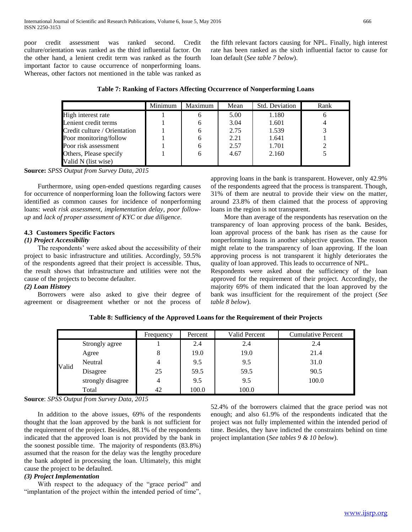poor credit assessment was ranked second. Credit culture/orientation was ranked as the third influential factor. On the other hand, a lenient credit term was ranked as the fourth important factor to cause occurrence of nonperforming loans. Whereas, other factors not mentioned in the table was ranked as the fifth relevant factors causing for NPL. Finally, high interest rate has been ranked as the sixth influential factor to cause for loan default (*See table 7 below*).

|  |  | Table 7: Ranking of Factors Affecting Occurrence of Nonperforming Loans |  |  |
|--|--|-------------------------------------------------------------------------|--|--|
|  |  |                                                                         |  |  |

|                              | Minimum | Maximum | Mean | <b>Std. Deviation</b> | Rank |
|------------------------------|---------|---------|------|-----------------------|------|
| High interest rate           |         |         | 5.00 | 1.180                 | o    |
| Lenient credit terms         |         |         | 3.04 | 1.601                 |      |
| Credit culture / Orientation |         |         | 2.75 | 1.539                 |      |
| Poor monitoring/follow       |         |         | 2.21 | 1.641                 |      |
| Poor risk assessment         |         |         | 2.57 | 1.701                 |      |
| Others, Please specify       |         |         | 4.67 | 2.160                 |      |
| Valid N (list wise)          |         |         |      |                       |      |

**Source:** *SPSS Output from Survey Data, 2015*

 Furthermore, using open-ended questions regarding causes for occurrence of nonperforming loan the following factors were identified as common causes for incidence of nonperforming loans: *weak risk assessment*, *implementation delay*, *poor followup* and *lack of proper assessment of KYC* or *due diligence*.

## **4.3 Customers Specific Factors**

### *(1) Project Accessibility*

 The respondents' were asked about the accessibility of their project to basic infrastructure and utilities. Accordingly, 59.5% of the respondents agreed that their project is accessible. Thus, the result shows that infrastructure and utilities were not the cause of the projects to become defaulter.

## *(2) Loan History*

 Borrowers were also asked to give their degree of agreement or disagreement whether or not the process of

approving loans in the bank is transparent. However, only 42.9% of the respondents agreed that the process is transparent. Though, 31% of them are neutral to provide their view on the matter, around 23.8% of them claimed that the process of approving loans in the region is not transparent.

 More than average of the respondents has reservation on the transparency of loan approving process of the bank. Besides, loan approval process of the bank has risen as the cause for nonperforming loans in another subjective question. The reason might relate to the transparency of loan approving. If the loan approving process is not transparent it highly deteriorates the quality of loan approved. This leads to occurrence of NPL.

Respondents were asked about the sufficiency of the loan approved for the requirement of their project. Accordingly, the majority 69% of them indicated that the loan approved by the bank was insufficient for the requirement of the project (*See table 8 below*).

**Table 8: Sufficiency of the Approved Loans for the Requirement of their Projects**

|       |                   | Frequency | Percent | <b>Valid Percent</b> | <b>Cumulative Percent</b> |
|-------|-------------------|-----------|---------|----------------------|---------------------------|
|       | Strongly agree    |           | 2.4     | 2.4                  | 2.4                       |
|       | Agree             |           | 19.0    | 19.0                 | 21.4                      |
|       | Neutral           | 4         | 9.5     | 9.5                  | 31.0                      |
| Valid | Disagree          | 25        | 59.5    | 59.5                 | 90.5                      |
|       | strongly disagree | 4         | 9.5     | 9.5                  | 100.0                     |
|       | Total             | 42        | 100.0   | 100.0                |                           |

**Source**: *SPSS Output from Survey Data, 2015*

 In addition to the above issues, 69% of the respondents thought that the loan approved by the bank is not sufficient for the requirement of the project. Besides, 88.1% of the respondents indicated that the approved loan is not provided by the bank in the soonest possible time. The majority of respondents (83.8%) assumed that the reason for the delay was the lengthy procedure the bank adopted in processing the loan. Ultimately, this might cause the project to be defaulted.

## *(3) Project Implementation*

 With respect to the adequacy of the "grace period" and "implantation of the project within the intended period of time", 52.4% of the borrowers claimed that the grace period was not enough; and also 61.9% of the respondents indicated that the project was not fully implemented within the intended period of time. Besides, they have indicted the constraints behind on time project implantation (*See tables 9 & 10 below*).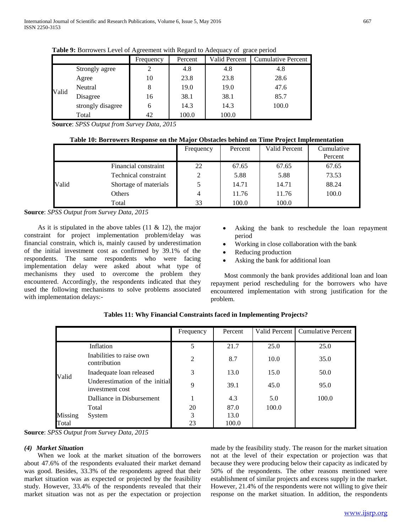| -----<br>-- <del></del> |                   |           |         |               |                           |  |  |  |  |  |
|-------------------------|-------------------|-----------|---------|---------------|---------------------------|--|--|--|--|--|
|                         |                   | Frequency | Percent | Valid Percent | <b>Cumulative Percent</b> |  |  |  |  |  |
|                         | Strongly agree    |           | 4.8     | 4.8           | 4.8                       |  |  |  |  |  |
|                         | Agree             | 10        | 23.8    | 23.8          | 28.6                      |  |  |  |  |  |
|                         | Neutral           | 8         | 19.0    | 19.0          | 47.6                      |  |  |  |  |  |
| Valid                   | Disagree          | 16        | 38.1    | 38.1          | 85.7                      |  |  |  |  |  |
|                         | strongly disagree | 6         | 14.3    | 14.3          | 100.0                     |  |  |  |  |  |
|                         | Total             | 42        | 100.0   | 100.0         |                           |  |  |  |  |  |

**Table 9:** Borrowers Level of Agreement with Regard to Adequacy of grace period

**Source**: *SPSS Output from Survey Data, 2015*

## **Table 10: Borrowers Response on the Major Obstacles behind on Time Project Implementation**

|       |                       | Frequency | Percent | <b>Valid Percent</b> | Cumulative<br>Percent |
|-------|-----------------------|-----------|---------|----------------------|-----------------------|
|       | Financial constraint  | 22        | 67.65   | 67.65                | 67.65                 |
|       | Technical constraint  |           | 5.88    | 5.88                 | 73.53                 |
| Valid | Shortage of materials |           | 14.71   | 14.71                | 88.24                 |
|       | Others                | 4         | 11.76   | 11.76                | 100.0                 |
|       | Total                 | 33        | 100.0   | 100.0                |                       |

## **Source**: *SPSS Output from Survey Data, 2015*

As it is stipulated in the above tables  $(11 \& 12)$ , the major constraint for project implementation problem/delay was financial constrain, which is, mainly caused by underestimation of the initial investment cost as confirmed by 39.1% of the respondents. The same respondents who were facing implementation delay were asked about what type of mechanisms they used to overcome the problem they encountered. Accordingly, the respondents indicated that they used the following mechanisms to solve problems associated with implementation delays:-

- Asking the bank to reschedule the loan repayment period
- Working in close collaboration with the bank
- Reducing production
- Asking the bank for additional loan

 Most commonly the bank provides additional loan and loan repayment period rescheduling for the borrowers who have encountered implementation with strong justification for the problem.

|         |                                                   | Frequency      | Percent | Valid Percent | <b>Cumulative Percent</b> |
|---------|---------------------------------------------------|----------------|---------|---------------|---------------------------|
|         | Inflation                                         | 5              | 21.7    | 25.0          | 25.0                      |
| Valid   | Inabilities to raise own<br>contribution          | $\overline{2}$ | 8.7     | 10.0          | 35.0                      |
|         | Inadequate loan released                          | 3              | 13.0    | 15.0          | 50.0                      |
|         | Underestimation of the initial<br>investment cost | 9              | 39.1    | 45.0          | 95.0                      |
|         | Dalliance in Disbursement                         |                | 4.3     | 5.0           | 100.0                     |
|         | Total                                             | 20             | 87.0    | 100.0         |                           |
| Missing | System                                            | 3              | 13.0    |               |                           |
| Total   |                                                   | 23             | 100.0   |               |                           |

**Tables 11: Why Financial Constraints faced in Implementing Projects?**

**Source**: *SPSS Output from Survey Data, 2015*

## *(4) Market Situation*

 When we look at the market situation of the borrowers about 47.6% of the respondents evaluated their market demand was good. Besides, 33.3% of the respondents agreed that their market situation was as expected or projected by the feasibility study. However, 33.4% of the respondents revealed that their market situation was not as per the expectation or projection made by the feasibility study. The reason for the market situation not at the level of their expectation or projection was that because they were producing below their capacity as indicated by 50% of the respondents. The other reasons mentioned were establishment of similar projects and excess supply in the market. However, 21.4% of the respondents were not willing to give their response on the market situation. In addition, the respondents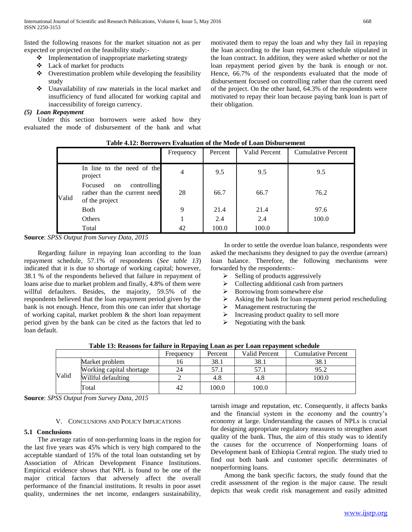listed the following reasons for the market situation not as per expected or projected on the feasibility study:-

- $\cdot \cdot$  Implementation of inappropriate marketing strategy
- Lack of market for products
- Overestimation problem while developing the feasibility study
- Unavailability of raw materials in the local market and insufficiency of fund allocated for working capital and inaccessibility of foreign currency.

## *(5) Loan Repayment*

 Under this section borrowers were asked how they evaluated the mode of disbursement of the bank and what

> **Table 4.12: Borrowers Evaluation of the Mode of Loan Disbursement** Frequency Percent Valid Percent Cumulative Percent Valid In line to the need of the project 9.5 9.5 9.5 9.5 Focused on controlling rather than the current need of the project 28 66.7 66.7 76.2 Both 9 21.4 21.4 97.6 Others 1 1 2.4 2.4 100.0

Total 100.0 100.0

their obligation.

**Source**: *SPSS Output from Survey Data, 2015*

 Regarding failure in repaying loan according to the loan repayment schedule, 57.1% of respondents (*See table 13*) indicated that it is due to shortage of working capital; however, 38.1 % of the respondents believed that failure in repayment of loans arise due to market problem and finally, 4.8% of them were willful defaulters. Besides, the majority, 59.5% of the respondents believed that the loan repayment period given by the bank is not enough. Hence, from this one can infer that shortage of working capital, market problem & the short loan repayment period given by the bank can be cited as the factors that led to loan default.

 In order to settle the overdue loan balance, respondents were asked the mechanisms they designed to pay the overdue (arrears) loan balance. Therefore, the following mechanisms were forwarded by the respondents:-

motivated them to repay the loan and why they fail in repaying the loan according to the loan repayment schedule stipulated in the loan contract. In addition, they were asked whether or not the loan repayment period given by the bank is enough or not. Hence, 66.7% of the respondents evaluated that the mode of disbursement focused on controlling rather than the current need of the project. On the other hand, 64.3% of the respondents were motivated to repay their loan because paying bank loan is part of

- $\triangleright$  Selling of products aggressively
- $\triangleright$  Collecting additional cash from partners
- $\geq$  Borrowing from somewhere else<br> $\geq$  Asking the bank for loan renayment
- Asking the bank for loan repayment period rescheduling
- $\triangleright$  Management restructuring the
- $\triangleright$  Increasing product quality to sell more
- $\triangleright$  Negotiating with the bank

|  |  |  |  |  | Table 13: Reasons for failure in Repaying Loan as per Loan repayment schedule |
|--|--|--|--|--|-------------------------------------------------------------------------------|
|  |  |  |  |  |                                                                               |

|       |                          | Frequency | Percent | <b>Valid Percent</b> | <b>Cumulative Percent</b> |
|-------|--------------------------|-----------|---------|----------------------|---------------------------|
|       | Market problem           | 10        | 38.1    | 38.1                 | 38.1                      |
| Valid | Working capital shortage | 24        | 57.1    |                      | 95.2                      |
|       | Willful defaulting       |           | 4.8     |                      | 100.0                     |
|       | Total                    | 42        | 100.0   | 100.0                |                           |

**Source**: *SPSS Output from Survey Data, 2015*

## V. CONCLUSIONS AND POLICY IMPLICATIONS

## **5.1 Conclusions**

 The average ratio of non-performing loans in the region for the last five years was 45% which is very high compared to the acceptable standard of 15% of the total loan outstanding set by Association of African Development Finance Institutions. Empirical evidence shows that NPL is found to be one of the major critical factors that adversely affect the overall performance of the financial institutions. It results in poor asset quality, undermines the net income, endangers sustainability,

tarnish image and reputation, etc. Consequently, it affects banks and the financial system in the economy and the country's economy at large. Understanding the causes of NPLs is crucial for designing appropriate regulatory measures to strengthen asset quality of the bank. Thus, the aim of this study was to identify the causes for the occurrence of Nonperforming loans of Development bank of Ethiopia Central region. The study tried to find out both bank and customer specific determinates of nonperforming loans.

 Among the bank specific factors, the study found that the credit assessment of the region is the major cause. The result depicts that weak credit risk management and easily admitted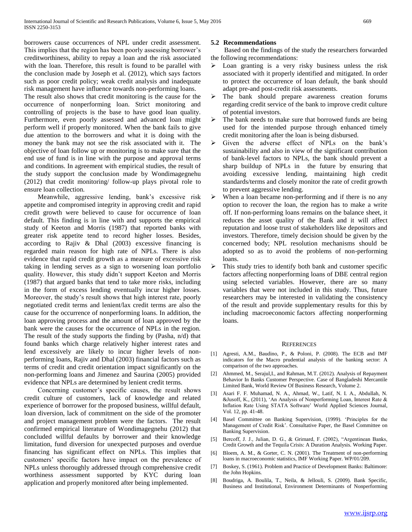borrowers cause occurrences of NPL under credit assessment. This implies that the region has been poorly assessing borrower's creditworthiness, ability to repay a loan and the risk associated with the loan. Therefore, this result is found to be parallel with the conclusion made by Joseph et al. (2012), which says factors such as poor credit policy; weak credit analysis and inadequate risk management have influence towards non-performing loans.

The result also shows that credit monitoring is the cause for the occurrence of nonperforming loan. Strict monitoring and controlling of projects is the base to have good loan quality. Furthermore, even poorly assessed and advanced loan might perform well if properly monitored. When the bank fails to give due attention to the borrowers and what it is doing with the money the bank may not see the risk associated with it. The objective of loan follow up or monitoring is to make sure that the end use of fund is in line with the purpose and approval terms and conditions. In agreement with empirical studies, the result of the study support the conclusion made by Wondimagegnehu (2012) that credit monitoring/ follow-up plays pivotal role to ensure loan collection.

 Meanwhile, aggressive lending, bank's excessive risk appetite and compromised integrity in approving credit and rapid credit growth were believed to cause for occurrence of loan default. This finding is in line with and supports the empirical study of Keeton and Morris (1987) that reported banks with greater risk appetite tend to record higher losses. Besides, according to Rajiv & Dhal (2003) excessive financing is regarded main reason for high rate of NPLs. There is also evidence that rapid credit growth as a measure of excessive risk taking in lending serves as a sign to worsening loan portfolio quality. However, this study didn't support Keeton and Morris (1987) that argued banks that tend to take more risks, including in the form of excess lending eventually incur higher losses. Moreover, the study's result shows that high interest rate, poorly negotiated credit terms and lenient/lax credit terms are also the cause for the occurrence of nonperforming loans. In addition, the loan approving process and the amount of loan approved by the bank were the causes for the occurrence of NPLs in the region. The result of the study supports the finding by (Pasha, n/d) that found banks which charge relatively higher interest rates and lend excessively are likely to incur higher levels of nonperforming loans, Rajiv and Dhal (2003) financial factors such as terms of credit and credit orientation impact significantly on the non-performing loans and Jimenez and Saurina (2005) provided evidence that NPLs are determined by lenient credit terms.

 Concerning customer's specific causes, the result shows credit culture of customers, lack of knowledge and related experience of borrower for the proposed business, willful default, loan diversion, lack of commitment on the side of the promoter and project management problem were the factors. The result confirmed empirical literature of Wondimagegnehu (2012) that concluded willful defaults by borrower and their knowledge limitation, fund diversion for unexpected purposes and overdue financing has significant effect on NPLs. This implies that customers' specific factors have impact on the prevalence of NPLs unless thoroughly addressed through comprehensive credit worthiness assessment supported by KYC during loan application and properly monitored after being implemented.

## **5.2 Recommendations**

 Based on the findings of the study the researchers forwarded the following recommendations:

- Loan granting is a very risky business unless the risk associated with it properly identified and mitigated. In order to protect the occurrence of loan default, the bank should adapt pre-and post-credit risk assessments.
- > The bank should prepare awareness creation forums regarding credit service of the bank to improve credit culture of potential investors.
- $\triangleright$  The bank needs to make sure that borrowed funds are being used for the intended purpose through enhanced timely credit monitoring after the loan is being disbursed.
- Given the adverse effect of NPLs on the bank's sustainability and also in view of the significant contribution of bank-level factors to NPLs, the bank should prevent a sharp buildup of NPLs in the future by ensuring that avoiding excessive lending, maintaining high credit standards/terms and closely monitor the rate of credit growth to prevent aggressive lending.
- $\triangleright$  When a loan became non-performing and if there is no any option to recover the loan, the region has to make a write off. If non-performing loans remains on the balance sheet, it reduces the asset quality of the Bank and it will affect reputation and loose trust of stakeholders like depositors and investors. Therefore, timely decision should be given by the concerned body; NPL resolution mechanisms should be adopted so as to avoid the problems of non-performing loans.
- $\triangleright$  This study tries to identify both bank and customer specific factors affecting nonperforming loans of DBE central region using selected variables. However, there are so many variables that were not included in this study. Thus, future researchers may be interested in validating the consistency of the result and provide supplementary results for this by including macroeconomic factors affecting nonperforming loans.

### REFERENCES

- [1] Agresti, A.M., Baudino, P., & Poloni, P. (2008). The ECB and IMF indicators for the Macro prudential analysis of the banking sector: A comparison of the two approaches.
- [2] Ahmmed, M., Serajul,I., and Rahman, M.T. (2012). Analysis of Repayment Behavior In Banks Customer Perspective. Case of Bangladeshi Mercantile Limited Bank, World Review Of Business Research, Volume 2.
- [3] Asari F. F. Muhamad, N. A., Ahmad, W., Latif, N. I. A., Abdullah, N. &Jusoff, K., (2011), 'An Analysis of Nonperforming Loan, Interest Rate & Inflation Rate Using STATA Software' World Applied Sciences Journal, Vol. 12, pp. 41-48.
- [4] Basel Committee on Banking Supervision, (1999). 'Principles for the Management of Credit Risk'. Consultative Paper, the Basel Committee on Banking Supervision.
- [5] Bercoff, J. J., Julian, D. G., & Grimard, F. (2002), "Argentinean Banks, Credit Growth and the Tequila Crisis: A Duration Analysis. Working Paper.
- [6] Bloem, A. M., & Gorter, C. N. (2001). The Treatment of non-performing loans in macroeconomic statistics, IMF Working Paper. WP/01/209.
- [7] Boskey, S. (1961). Problem and Practice of Development Banks: Baltimore: the John Hopkins.
- [8] Boudriga, A. Boulila, T., Neila, & Jellouli, S. (2009). Bank Specific, Business and Institutional, Environment Determinants of Nonperforming